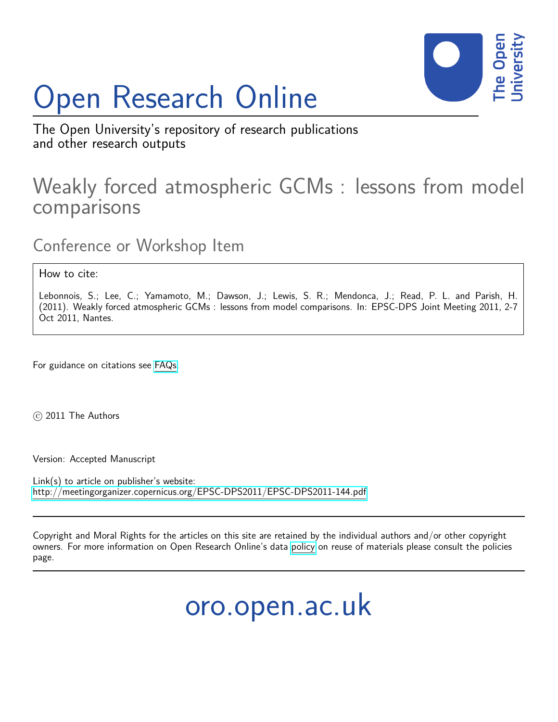# Open Research Online



The Open University's repository of research publications and other research outputs

# Weakly forced atmospheric GCMs : lessons from model comparisons

Conference or Workshop Item

How to cite:

Lebonnois, S.; Lee, C.; Yamamoto, M.; Dawson, J.; Lewis, S. R.; Mendonca, J.; Read, P. L. and Parish, H. (2011). Weakly forced atmospheric GCMs : lessons from model comparisons. In: EPSC-DPS Joint Meeting 2011, 2-7 Oct 2011, Nantes.

For guidance on citations see [FAQs.](http://oro.open.ac.uk/help/helpfaq.html)

 $\circ$  2011 The Authors

Version: Accepted Manuscript

Link(s) to article on publisher's website: <http://meetingorganizer.copernicus.org/EPSC-DPS2011/EPSC-DPS2011-144.pdf>

Copyright and Moral Rights for the articles on this site are retained by the individual authors and/or other copyright owners. For more information on Open Research Online's data [policy](http://oro.open.ac.uk/policies.html) on reuse of materials please consult the policies page.

oro.open.ac.uk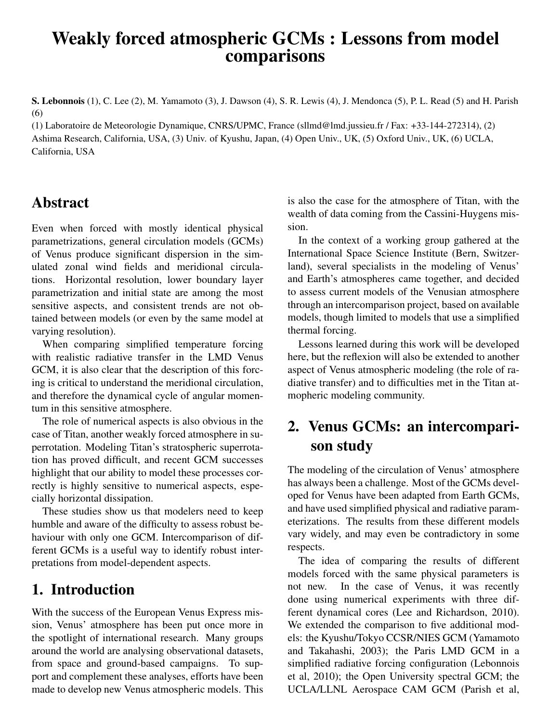## Weakly forced atmospheric GCMs : Lessons from model comparisons

S. Lebonnois (1), C. Lee (2), M. Yamamoto (3), J. Dawson (4), S. R. Lewis (4), J. Mendonca (5), P. L. Read (5) and H. Parish (6)

(1) Laboratoire de Meteorologie Dynamique, CNRS/UPMC, France (sllmd@lmd.jussieu.fr / Fax: +33-144-272314), (2) Ashima Research, California, USA, (3) Univ. of Kyushu, Japan, (4) Open Univ., UK, (5) Oxford Univ., UK, (6) UCLA, California, USA

#### Abstract

Even when forced with mostly identical physical parametrizations, general circulation models (GCMs) of Venus produce significant dispersion in the simulated zonal wind fields and meridional circulations. Horizontal resolution, lower boundary layer parametrization and initial state are among the most sensitive aspects, and consistent trends are not obtained between models (or even by the same model at varying resolution).

When comparing simplified temperature forcing with realistic radiative transfer in the LMD Venus GCM, it is also clear that the description of this forcing is critical to understand the meridional circulation, and therefore the dynamical cycle of angular momentum in this sensitive atmosphere.

The role of numerical aspects is also obvious in the case of Titan, another weakly forced atmosphere in superrotation. Modeling Titan's stratospheric superrotation has proved difficult, and recent GCM successes highlight that our ability to model these processes correctly is highly sensitive to numerical aspects, especially horizontal dissipation.

These studies show us that modelers need to keep humble and aware of the difficulty to assess robust behaviour with only one GCM. Intercomparison of different GCMs is a useful way to identify robust interpretations from model-dependent aspects.

#### 1. Introduction

With the success of the European Venus Express mission, Venus' atmosphere has been put once more in the spotlight of international research. Many groups around the world are analysing observational datasets, from space and ground-based campaigns. To support and complement these analyses, efforts have been made to develop new Venus atmospheric models. This is also the case for the atmosphere of Titan, with the wealth of data coming from the Cassini-Huygens mission.

In the context of a working group gathered at the International Space Science Institute (Bern, Switzerland), several specialists in the modeling of Venus' and Earth's atmospheres came together, and decided to assess current models of the Venusian atmosphere through an intercomparison project, based on available models, though limited to models that use a simplified thermal forcing.

Lessons learned during this work will be developed here, but the reflexion will also be extended to another aspect of Venus atmospheric modeling (the role of radiative transfer) and to difficulties met in the Titan atmopheric modeling community.

#### 2. Venus GCMs: an intercomparison study

The modeling of the circulation of Venus' atmosphere has always been a challenge. Most of the GCMs developed for Venus have been adapted from Earth GCMs, and have used simplified physical and radiative parameterizations. The results from these different models vary widely, and may even be contradictory in some respects.

The idea of comparing the results of different models forced with the same physical parameters is not new. In the case of Venus, it was recently done using numerical experiments with three different dynamical cores (Lee and Richardson, 2010). We extended the comparison to five additional models: the Kyushu/Tokyo CCSR/NIES GCM (Yamamoto and Takahashi, 2003); the Paris LMD GCM in a simplified radiative forcing configuration (Lebonnois et al, 2010); the Open University spectral GCM; the UCLA/LLNL Aerospace CAM GCM (Parish et al,